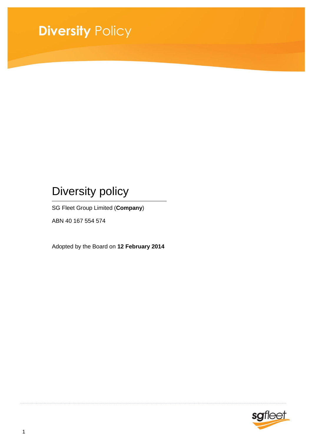# **Diversity** Policy

## Diversity policy

SG Fleet Group Limited (**Company**)

ABN 40 167 554 574

Adopted by the Board on **12 February 2014**

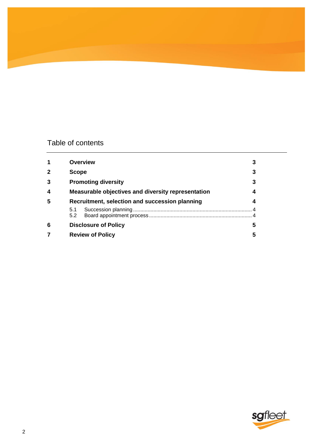## Table of contents

|              | <b>Overview</b>                                    |   |
|--------------|----------------------------------------------------|---|
| $\mathbf{2}$ | <b>Scope</b>                                       | 3 |
| 3            | <b>Promoting diversity</b>                         | 3 |
| 4            | Measurable objectives and diversity representation | 4 |
| 5            | Recruitment, selection and succession planning     |   |
|              | 5.1<br>5.2                                         |   |
| 6            | <b>Disclosure of Policy</b>                        | 5 |
|              | <b>Review of Policy</b>                            | 5 |

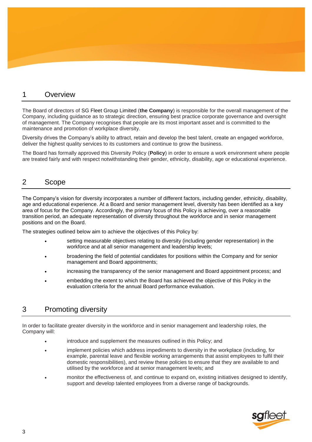#### 1 Overview

The Board of directors of SG Fleet Group Limited (**the Company**) is responsible for the overall management of the Company, including guidance as to strategic direction, ensuring best practice corporate governance and oversight of management. The Company recognises that people are its most important asset and is committed to the maintenance and promotion of workplace diversity.

Diversity drives the Company's ability to attract, retain and develop the best talent, create an engaged workforce, deliver the highest quality services to its customers and continue to grow the business.

The Board has formally approved this Diversity Policy (**Policy**) in order to ensure a work environment where people are treated fairly and with respect notwithstanding their gender, ethnicity, disability, age or educational experience.

### 2 Scope

The Company's vision for diversity incorporates a number of different factors, including gender, ethnicity, disability, age and educational experience. At a Board and senior management level, diversity has been identified as a key area of focus for the Company. Accordingly, the primary focus of this Policy is achieving, over a reasonable transition period, an adequate representation of diversity throughout the workforce and in senior management positions and on the Board.

The strategies outlined below aim to achieve the objectives of this Policy by:

- setting measurable objectives relating to diversity (including gender representation) in the workforce and at all senior management and leadership levels;
- broadening the field of potential candidates for positions within the Company and for senior management and Board appointments;
- increasing the transparency of the senior management and Board appointment process; and
- embedding the extent to which the Board has achieved the objective of this Policy in the evaluation criteria for the annual Board performance evaluation.

### 3 Promoting diversity

In order to facilitate greater diversity in the workforce and in senior management and leadership roles, the Company will:

- introduce and supplement the measures outlined in this Policy; and
- implement policies which address impediments to diversity in the workplace (including, for example, parental leave and flexible working arrangements that assist employees to fulfil their domestic responsibilities), and review these policies to ensure that they are available to and utilised by the workforce and at senior management levels; and
- monitor the effectiveness of, and continue to expand on, existing initiatives designed to identify, support and develop talented employees from a diverse range of backgrounds.

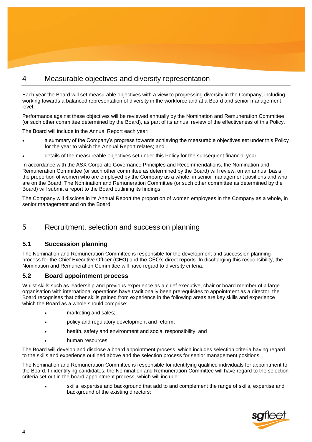## 4 Measurable objectives and diversity representation

Each year the Board will set measurable objectives with a view to progressing diversity in the Company, including working towards a balanced representation of diversity in the workforce and at a Board and senior management level.

Performance against these objectives will be reviewed annually by the Nomination and Remuneration Committee (or such other committee determined by the Board), as part of its annual review of the effectiveness of this Policy.

The Board will include in the Annual Report each year:

- a summary of the Company's progress towards achieving the measurable objectives set under this Policy for the year to which the Annual Report relates; and
- details of the measureable objectives set under this Policy for the subsequent financial year.

In accordance with the ASX Corporate Governance Principles and Recommendations, the Nomination and Remuneration Committee (or such other committee as determined by the Board) will review, on an annual basis, the proportion of women who are employed by the Company as a whole, in senior management positions and who are on the Board. The Nomination and Remuneration Committee (or such other committee as determined by the Board) will submit a report to the Board outlining its findings.

The Company will disclose in its Annual Report the proportion of women employees in the Company as a whole, in senior management and on the Board.

### 5 Recruitment, selection and succession planning

#### **5.1 Succession planning**

The Nomination and Remuneration Committee is responsible for the development and succession planning process for the Chief Executive Officer (**CEO**) and the CEO's direct reports. In discharging this responsibility, the Nomination and Remuneration Committee will have regard to diversity criteria.

#### **5.2 Board appointment process**

Whilst skills such as leadership and previous experience as a chief executive, chair or board member of a large organisation with international operations have traditionally been prerequisites to appointment as a director, the Board recognises that other skills gained from experience in the following areas are key skills and experience which the Board as a whole should comprise:

- marketing and sales;
- policy and regulatory development and reform;
- health, safety and environment and social responsibility; and
- human resources.

The Board will develop and disclose a board appointment process, which includes selection criteria having regard to the skills and experience outlined above and the selection process for senior management positions.

The Nomination and Remuneration Committee is responsible for identifying qualified individuals for appointment to the Board. In identifying candidates, the Nomination and Remuneration Committee will have regard to the selection criteria set out in the board appointment process, which will include:

 skills, expertise and background that add to and complement the range of skills, expertise and background of the existing directors;